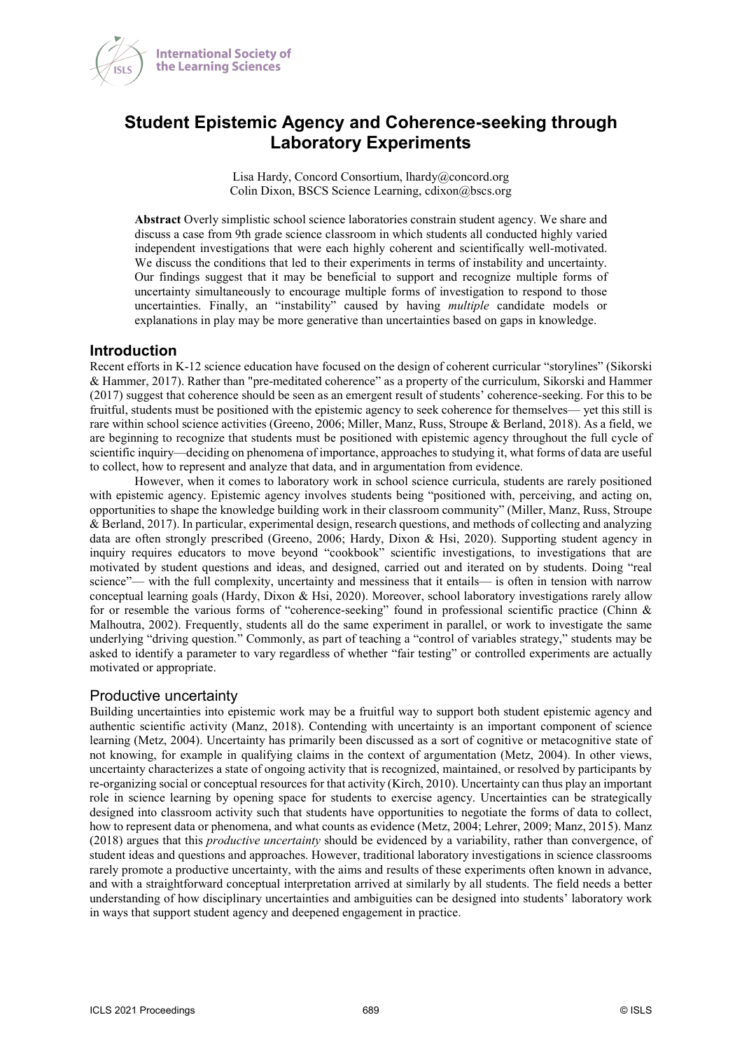

# **Student Epistemic Agency and Coherence-seeking through Laboratory Experiments**

Lisa Hardy, Concord Consortium, lhardy@concord.org Colin Dixon, BSCS Science Learning, cdixon@bscs.org

**Abstract** Overly simplistic school science laboratories constrain student agency. We share and discuss a case from 9th grade science classroom in which students all conducted highly varied independent investigations that were each highly coherent and scientifically well-motivated. We discuss the conditions that led to their experiments in terms of instability and uncertainty. Our findings suggest that it may be beneficial to support and recognize multiple forms of uncertainty simultaneously to encourage multiple forms of investigation to respond to those uncertainties. Finally, an "instability" caused by having *multiple* candidate models or explanations in play may be more generative than uncertainties based on gaps in knowledge.

#### **Introduction**

Recent efforts in K-12 science education have focused on the design of coherent curricular "storylines" (Sikorski & Hammer, 2017). Rather than "pre-meditated coherence" as a property of the curriculum, Sikorski and Hammer (2017) suggest that coherence should be seen as an emergent result of students' coherence-seeking. For this to be fruitful, students must be positioned with the epistemic agency to seek coherence for themselves— yet this still is rare within school science activities (Greeno, 2006; Miller, Manz, Russ, Stroupe & Berland, 2018). As a field, we are beginning to recognize that students must be positioned with epistemic agency throughout the full cycle of scientific inquiry—deciding on phenomena of importance, approaches to studying it, what forms of data are useful to collect, how to represent and analyze that data, and in argumentation from evidence.

However, when it comes to laboratory work in school science curricula, students are rarely positioned with epistemic agency. Epistemic agency involves students being "positioned with, perceiving, and acting on, opportunities to shape the knowledge building work in their classroom community" (Miller, Manz, Russ, Stroupe & Berland, 2017). In particular, experimental design, research questions, and methods of collecting and analyzing data are often strongly prescribed (Greeno, 2006; Hardy, Dixon & Hsi, 2020). Supporting student agency in inquiry requires educators to move beyond "cookbook" scientific investigations, to investigations that are motivated by student questions and ideas, and designed, carried out and iterated on by students. Doing "real science"— with the full complexity, uncertainty and messiness that it entails— is often in tension with narrow conceptual learning goals (Hardy, Dixon & Hsi, 2020). Moreover, school laboratory investigations rarely allow for or resemble the various forms of "coherence-seeking" found in professional scientific practice (Chinn & Malhoutra, 2002). Frequently, students all do the same experiment in parallel, or work to investigate the same underlying "driving question." Commonly, as part of teaching a "control of variables strategy," students may be asked to identify a parameter to vary regardless of whether "fair testing" or controlled experiments are actually motivated or appropriate.

#### Productive uncertainty

Building uncertainties into epistemic work may be a fruitful way to support both student epistemic agency and authentic scientific activity (Manz, 2018). Contending with uncertainty is an important component of science learning (Metz, 2004). Uncertainty has primarily been discussed as a sort of cognitive or metacognitive state of not knowing, for example in qualifying claims in the context of argumentation (Metz, 2004). In other views, uncertainty characterizes a state of ongoing activity that is recognized, maintained, or resolved by participants by re-organizing social or conceptual resources for that activity (Kirch, 2010). Uncertainty can thus play an important role in science learning by opening space for students to exercise agency. Uncertainties can be strategically designed into classroom activity such that students have opportunities to negotiate the forms of data to collect, how to represent data or phenomena, and what counts as evidence (Metz, 2004; Lehrer, 2009; Manz, 2015). Manz (2018) argues that this *productive uncertainty* should be evidenced by a variability, rather than convergence, of student ideas and questions and approaches. However, traditional laboratory investigations in science classrooms rarely promote a productive uncertainty, with the aims and results of these experiments often known in advance, and with a straightforward conceptual interpretation arrived at similarly by all students. The field needs a better understanding of how disciplinary uncertainties and ambiguities can be designed into students' laboratory work in ways that support student agency and deepened engagement in practice.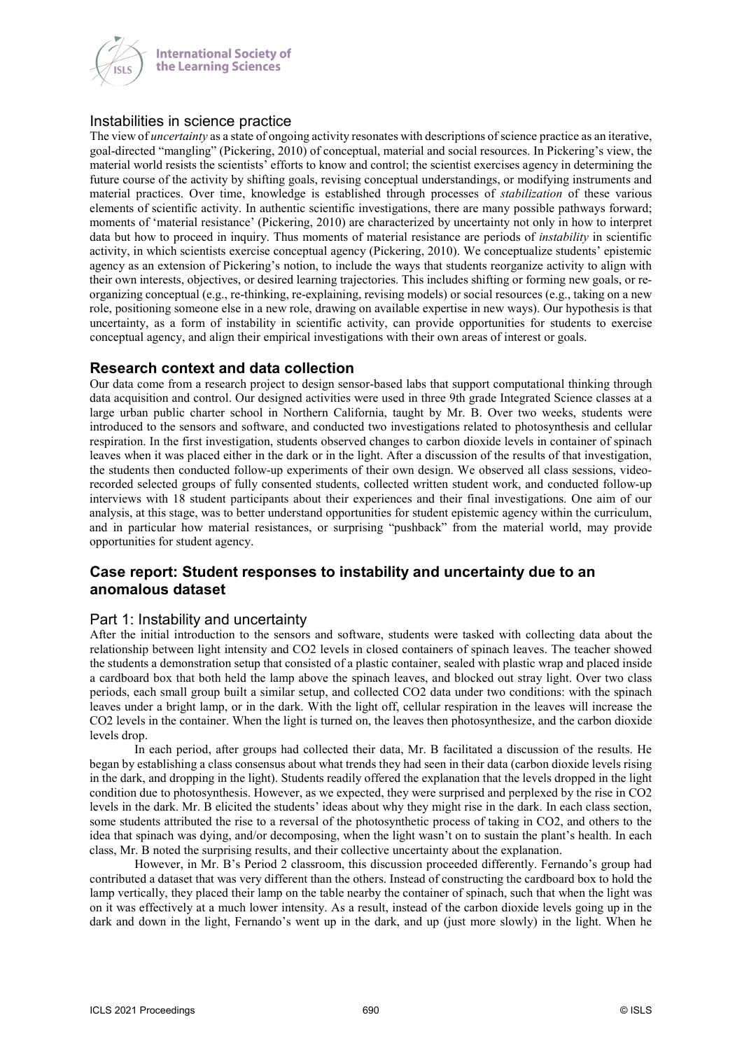

**International Society of** the Learning Sciences

# Instabilities in science practice

The view of *uncertainty* as a state of ongoing activity resonates with descriptions of science practice as an iterative, goal-directed "mangling" (Pickering, 2010) of conceptual, material and social resources. In Pickering's view, the material world resists the scientists' efforts to know and control; the scientist exercises agency in determining the future course of the activity by shifting goals, revising conceptual understandings, or modifying instruments and material practices. Over time, knowledge is established through processes of *stabilization* of these various elements of scientific activity. In authentic scientific investigations, there are many possible pathways forward; moments of 'material resistance' (Pickering, 2010) are characterized by uncertainty not only in how to interpret data but how to proceed in inquiry. Thus moments of material resistance are periods of *instability* in scientific activity, in which scientists exercise conceptual agency (Pickering, 2010). We conceptualize students' epistemic agency as an extension of Pickering's notion, to include the ways that students reorganize activity to align with their own interests, objectives, or desired learning trajectories. This includes shifting or forming new goals, or reorganizing conceptual (e.g., re-thinking, re-explaining, revising models) or social resources (e.g., taking on a new role, positioning someone else in a new role, drawing on available expertise in new ways). Our hypothesis is that uncertainty, as a form of instability in scientific activity, can provide opportunities for students to exercise conceptual agency, and align their empirical investigations with their own areas of interest or goals.

# **Research context and data collection**

Our data come from a research project to design sensor-based labs that support computational thinking through data acquisition and control. Our designed activities were used in three 9th grade Integrated Science classes at a large urban public charter school in Northern California, taught by Mr. B. Over two weeks, students were introduced to the sensors and software, and conducted two investigations related to photosynthesis and cellular respiration. In the first investigation, students observed changes to carbon dioxide levels in container of spinach leaves when it was placed either in the dark or in the light. After a discussion of the results of that investigation, the students then conducted follow-up experiments of their own design. We observed all class sessions, videorecorded selected groups of fully consented students, collected written student work, and conducted follow-up interviews with 18 student participants about their experiences and their final investigations. One aim of our analysis, at this stage, was to better understand opportunities for student epistemic agency within the curriculum, and in particular how material resistances, or surprising "pushback" from the material world, may provide opportunities for student agency.

# **Case report: Student responses to instability and uncertainty due to an anomalous dataset**

# Part 1: Instability and uncertainty

After the initial introduction to the sensors and software, students were tasked with collecting data about the relationship between light intensity and CO2 levels in closed containers of spinach leaves. The teacher showed the students a demonstration setup that consisted of a plastic container, sealed with plastic wrap and placed inside a cardboard box that both held the lamp above the spinach leaves, and blocked out stray light. Over two class periods, each small group built a similar setup, and collected CO2 data under two conditions: with the spinach leaves under a bright lamp, or in the dark. With the light off, cellular respiration in the leaves will increase the CO2 levels in the container. When the light is turned on, the leaves then photosynthesize, and the carbon dioxide levels drop.

In each period, after groups had collected their data, Mr. B facilitated a discussion of the results. He began by establishing a class consensus about what trends they had seen in their data (carbon dioxide levels rising in the dark, and dropping in the light). Students readily offered the explanation that the levels dropped in the light condition due to photosynthesis. However, as we expected, they were surprised and perplexed by the rise in CO2 levels in the dark. Mr. B elicited the students' ideas about why they might rise in the dark. In each class section, some students attributed the rise to a reversal of the photosynthetic process of taking in CO2, and others to the idea that spinach was dying, and/or decomposing, when the light wasn't on to sustain the plant's health. In each class, Mr. B noted the surprising results, and their collective uncertainty about the explanation.

However, in Mr. B's Period 2 classroom, this discussion proceeded differently. Fernando's group had contributed a dataset that was very different than the others. Instead of constructing the cardboard box to hold the lamp vertically, they placed their lamp on the table nearby the container of spinach, such that when the light was on it was effectively at a much lower intensity. As a result, instead of the carbon dioxide levels going up in the dark and down in the light, Fernando's went up in the dark, and up (just more slowly) in the light. When he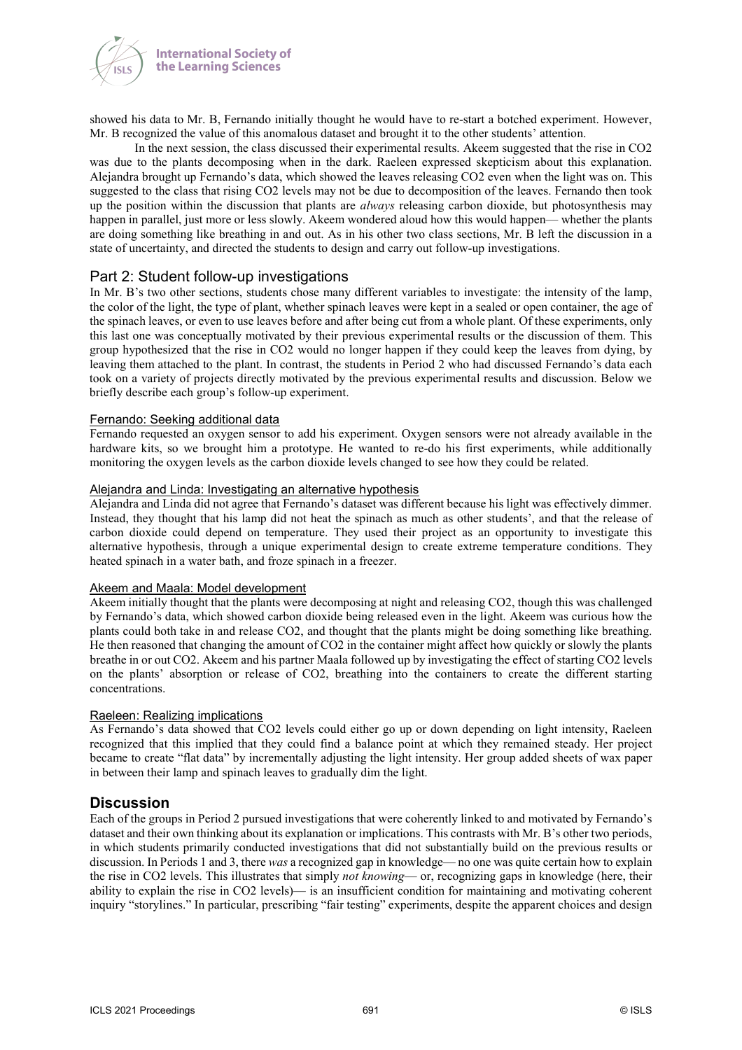

showed his data to Mr. B, Fernando initially thought he would have to re-start a botched experiment. However, Mr. B recognized the value of this anomalous dataset and brought it to the other students' attention.

In the next session, the class discussed their experimental results. Akeem suggested that the rise in CO2 was due to the plants decomposing when in the dark. Raeleen expressed skepticism about this explanation. Alejandra brought up Fernando's data, which showed the leaves releasing CO2 even when the light was on. This suggested to the class that rising CO2 levels may not be due to decomposition of the leaves. Fernando then took up the position within the discussion that plants are *always* releasing carbon dioxide, but photosynthesis may happen in parallel, just more or less slowly. Akeem wondered aloud how this would happen— whether the plants are doing something like breathing in and out. As in his other two class sections, Mr. B left the discussion in a state of uncertainty, and directed the students to design and carry out follow-up investigations.

# Part 2: Student follow-up investigations

In Mr. B's two other sections, students chose many different variables to investigate: the intensity of the lamp, the color of the light, the type of plant, whether spinach leaves were kept in a sealed or open container, the age of the spinach leaves, or even to use leaves before and after being cut from a whole plant. Of these experiments, only this last one was conceptually motivated by their previous experimental results or the discussion of them. This group hypothesized that the rise in CO2 would no longer happen if they could keep the leaves from dying, by leaving them attached to the plant. In contrast, the students in Period 2 who had discussed Fernando's data each took on a variety of projects directly motivated by the previous experimental results and discussion. Below we briefly describe each group's follow-up experiment.

#### Fernando: Seeking additional data

Fernando requested an oxygen sensor to add his experiment. Oxygen sensors were not already available in the hardware kits, so we brought him a prototype. He wanted to re-do his first experiments, while additionally monitoring the oxygen levels as the carbon dioxide levels changed to see how they could be related.

#### Alejandra and Linda: Investigating an alternative hypothesis

Alejandra and Linda did not agree that Fernando's dataset was different because his light was effectively dimmer. Instead, they thought that his lamp did not heat the spinach as much as other students', and that the release of carbon dioxide could depend on temperature. They used their project as an opportunity to investigate this alternative hypothesis, through a unique experimental design to create extreme temperature conditions. They heated spinach in a water bath, and froze spinach in a freezer.

#### Akeem and Maala: Model development

Akeem initially thought that the plants were decomposing at night and releasing CO2, though this was challenged by Fernando's data, which showed carbon dioxide being released even in the light. Akeem was curious how the plants could both take in and release CO2, and thought that the plants might be doing something like breathing. He then reasoned that changing the amount of CO2 in the container might affect how quickly or slowly the plants breathe in or out CO2. Akeem and his partner Maala followed up by investigating the effect of starting CO2 levels on the plants' absorption or release of CO2, breathing into the containers to create the different starting concentrations.

#### Raeleen: Realizing implications

As Fernando's data showed that CO2 levels could either go up or down depending on light intensity, Raeleen recognized that this implied that they could find a balance point at which they remained steady. Her project became to create "flat data" by incrementally adjusting the light intensity. Her group added sheets of wax paper in between their lamp and spinach leaves to gradually dim the light.

### **Discussion**

Each of the groups in Period 2 pursued investigations that were coherently linked to and motivated by Fernando's dataset and their own thinking about its explanation or implications. This contrasts with Mr. B's other two periods, in which students primarily conducted investigations that did not substantially build on the previous results or discussion. In Periods 1 and 3, there *was* a recognized gap in knowledge— no one was quite certain how to explain the rise in CO2 levels. This illustrates that simply *not knowing*— or, recognizing gaps in knowledge (here, their ability to explain the rise in CO2 levels)— is an insufficient condition for maintaining and motivating coherent inquiry "storylines." In particular, prescribing "fair testing" experiments, despite the apparent choices and design